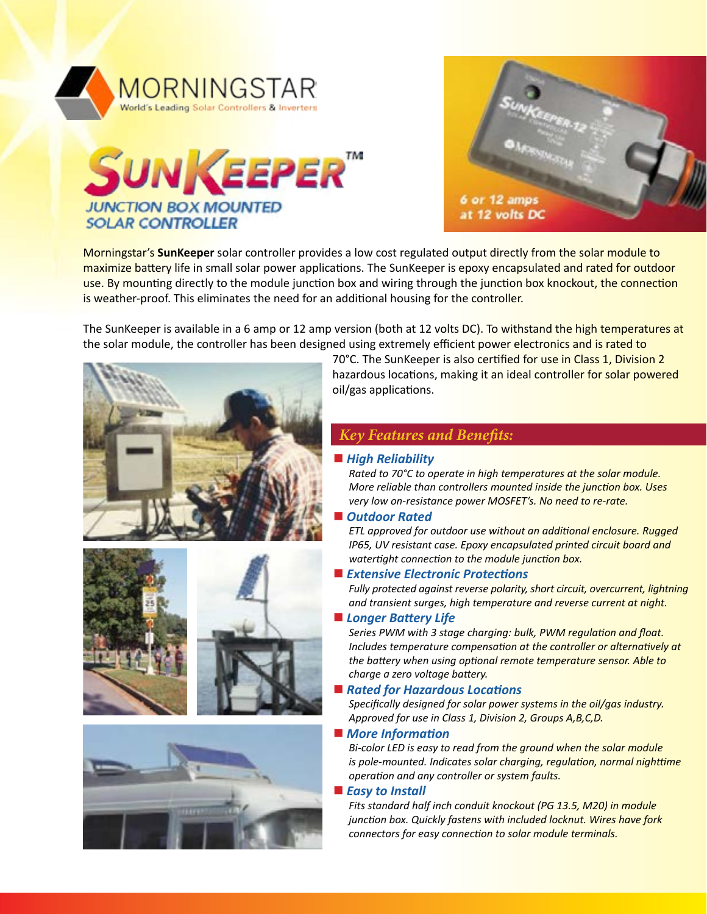





Morningstar's **SunKeeper** solar controller provides a low cost regulated output directly from the solar module to maximize battery life in small solar power applications. The SunKeeper is epoxy encapsulated and rated for outdoor use. By mounting directly to the module junction box and wiring through the junction box knockout, the connection is weather-proof. This eliminates the need for an additional housing for the controller.

The SunKeeper is available in a 6 amp or 12 amp version (both at 12 volts DC). To withstand the high temperatures at the solar module, the controller has been designed using extremely efficient power electronics and is rated to







70°C. The SunKeeper is also certified for use in Class 1, Division 2 hazardous locations, making it an ideal controller for solar powered oil/gas applications.

# *Key Features and Benefits:*

#### ■ High Reliability

*Rated to 70°C to operate in high temperatures at the solar module. More reliable than controllers mounted inside the junction box. Uses very low on-resistance power MOSFET's. No need to re-rate.*

#### *Outdoor Rated*

*ETL approved for outdoor use without an additional enclosure. Rugged IP65, UV resistant case. Epoxy encapsulated printed circuit board and watertight connection to the module junction box.*

#### ■ Extensive Electronic Protections

*Fully protected against reverse polarity, short circuit, overcurrent, lightning and transient surges, high temperature and reverse current at night.*

#### *Longer Battery Life*

*Series PWM with 3 stage charging: bulk, PWM regulation and float. Includes temperature compensation at the controller or alternatively at the battery when using optional remote temperature sensor. Able to charge a zero voltage battery.*

#### ■ Rated for Hazardous Locations

*Specifically designed for solar power systems in the oil/gas industry. Approved for use in Class 1, Division 2, Groups A,B,C,D.*

■ *More Information* 

*Bi-color LED is easy to read from the ground when the solar module is pole-mounted. Indicates solar charging, regulation, normal nighttime operation and any controller or system faults.*

#### ■ *Easy to Install*

*Fits standard half inch conduit knockout (PG 13.5, M20) in module junction box. Quickly fastens with included locknut. Wires have fork connectors for easy connection to solar module terminals.*